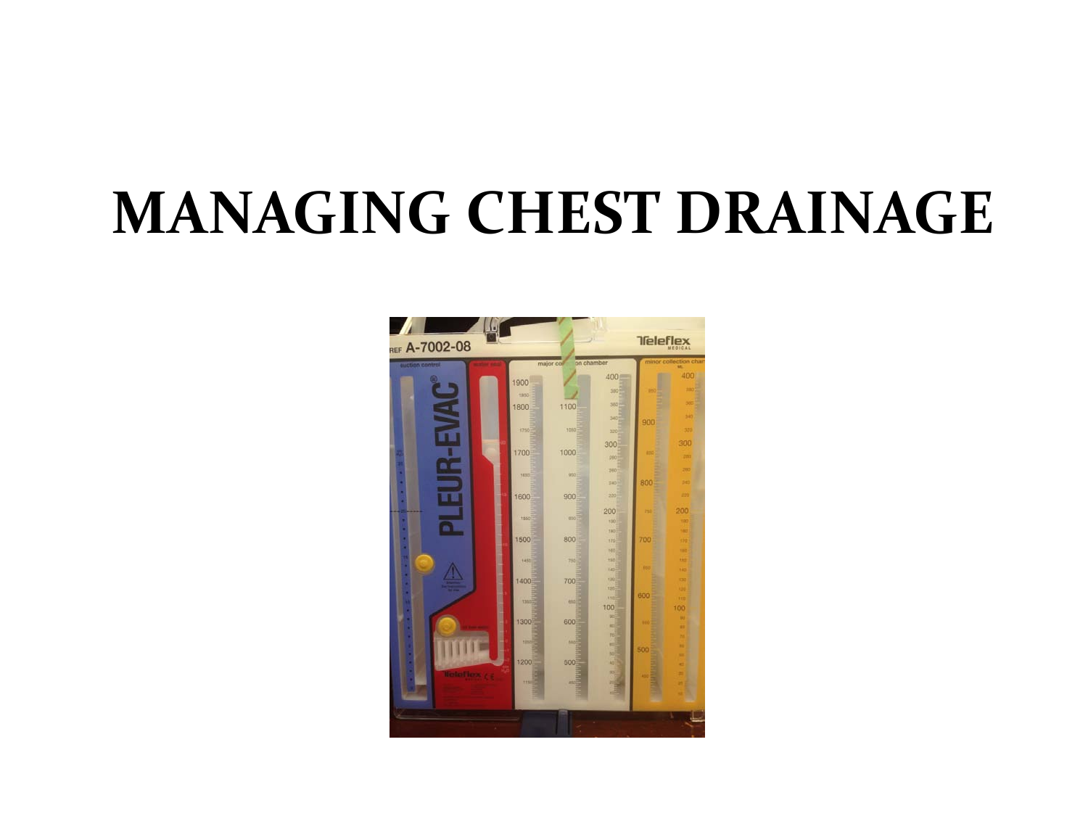## **MANAGING CHEST DRAINAGE**

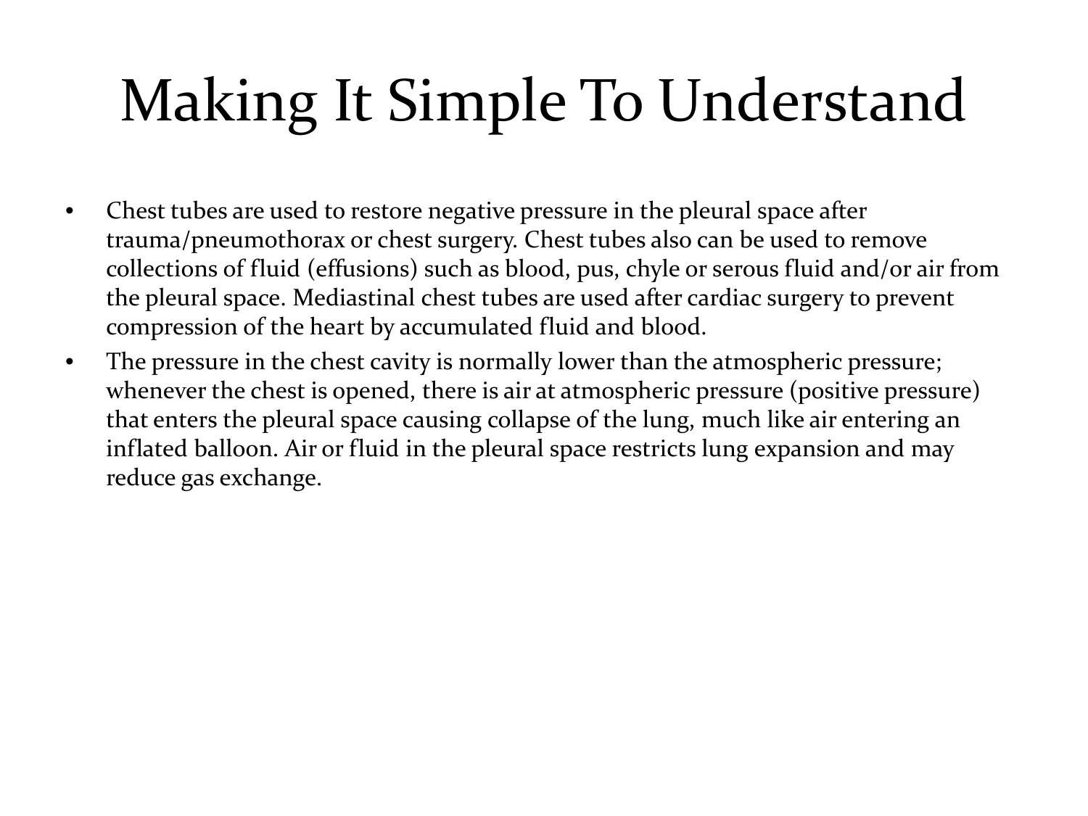## Making It Simple To Understand

- Chest tubes are used to restore negative pressure in the pleural space after trauma/pneumothorax or chest surgery. Chest tubes also can be used to remove collections of fluid (effusions) such as blood, pus, chyle or serous fluid and/or air from the pleural space. Mediastinal chest tubes are used after cardiac surgery to prevent compression of the heart by accumulated fluid and blood.
- The pressure in the chest cavity is normally lower than the atmospheric pressure; whenever the chest is opened, there is air at atmospheric pressure (positive pressure) that enters the pleural space causing collapse of the lung, much like air entering an inflated balloon. Air or fluid in the pleural space restricts lung expansion and may reduce gas exchange.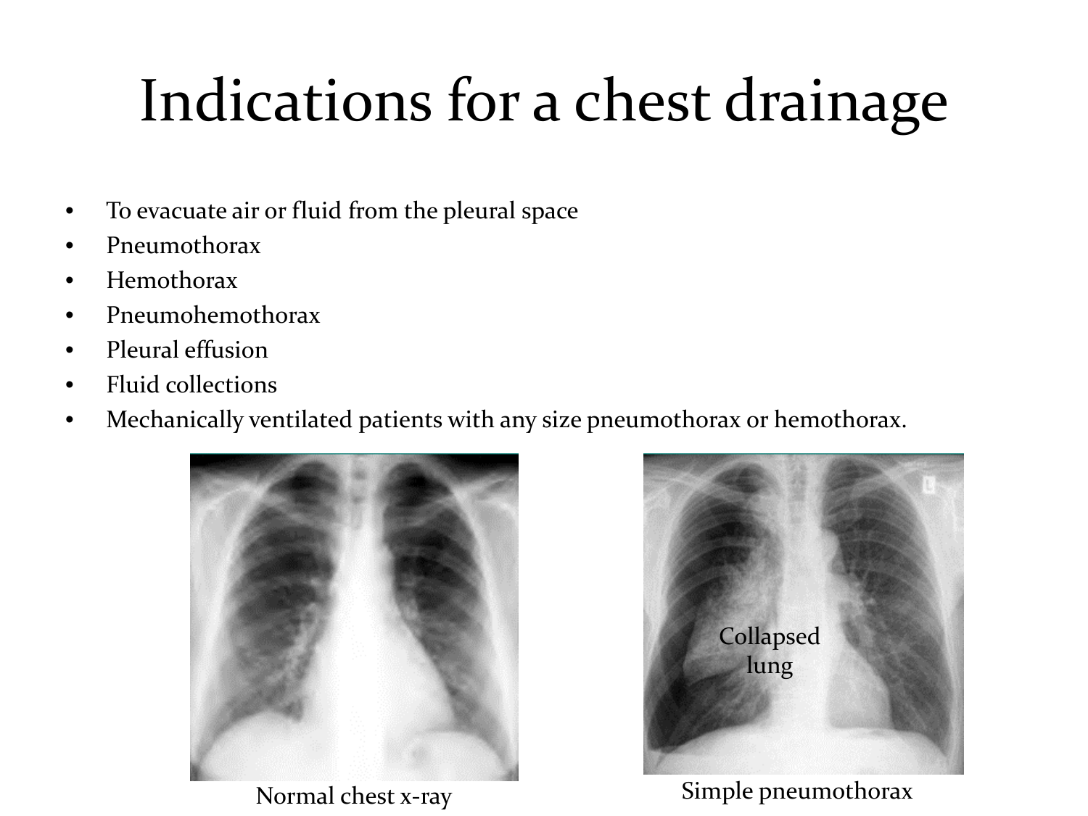- To evacuate air or fluid from the pleural space
- Pneumothorax
- Hemothorax
- Pneumohemothorax
- Pleural effusion
- Fluid collections
- Mechanically ventilated patients with any size pneumothorax or hemothorax.





Normal chest x-ray Simple pneumothorax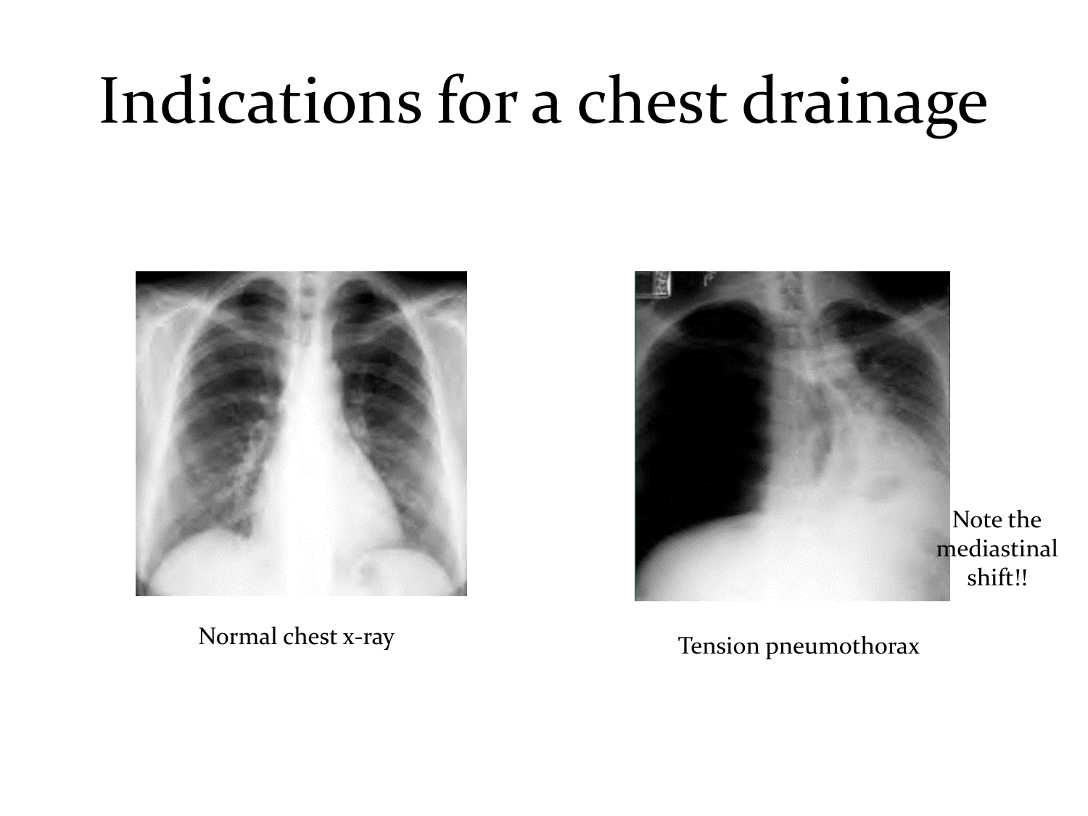



#### Normal chest x-ray Tension pneumothorax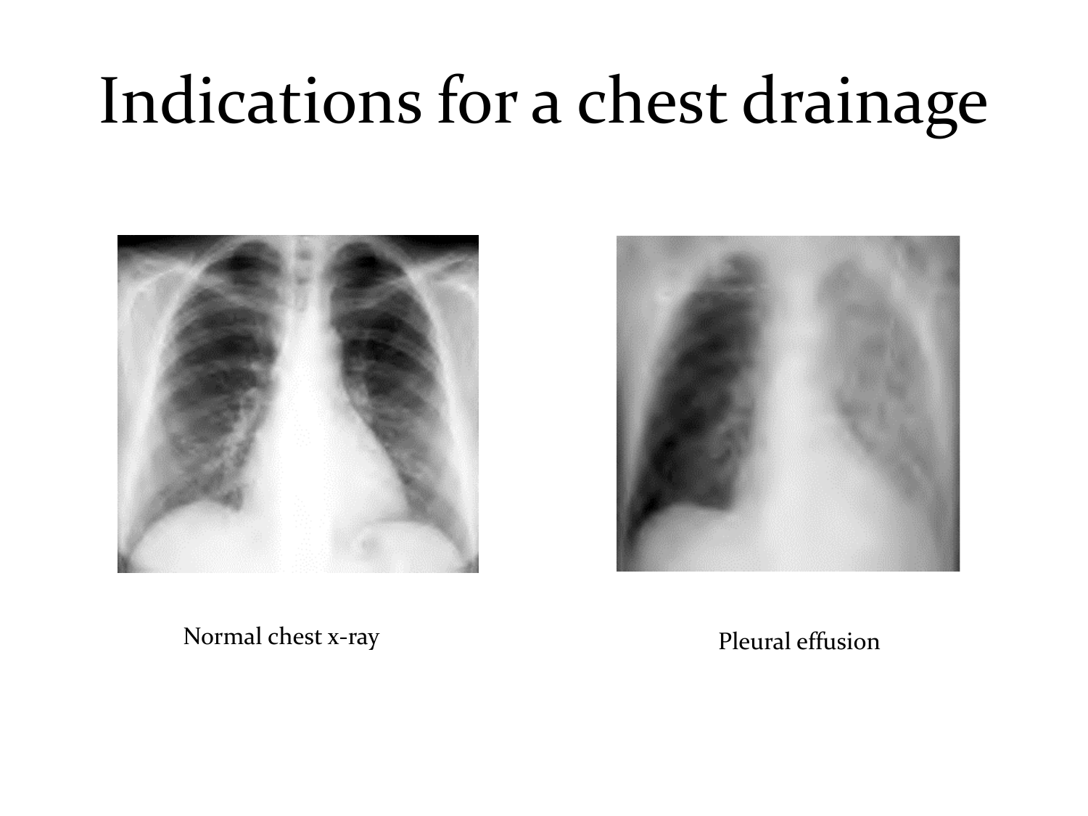



Normal chest x-ray Pleural effusion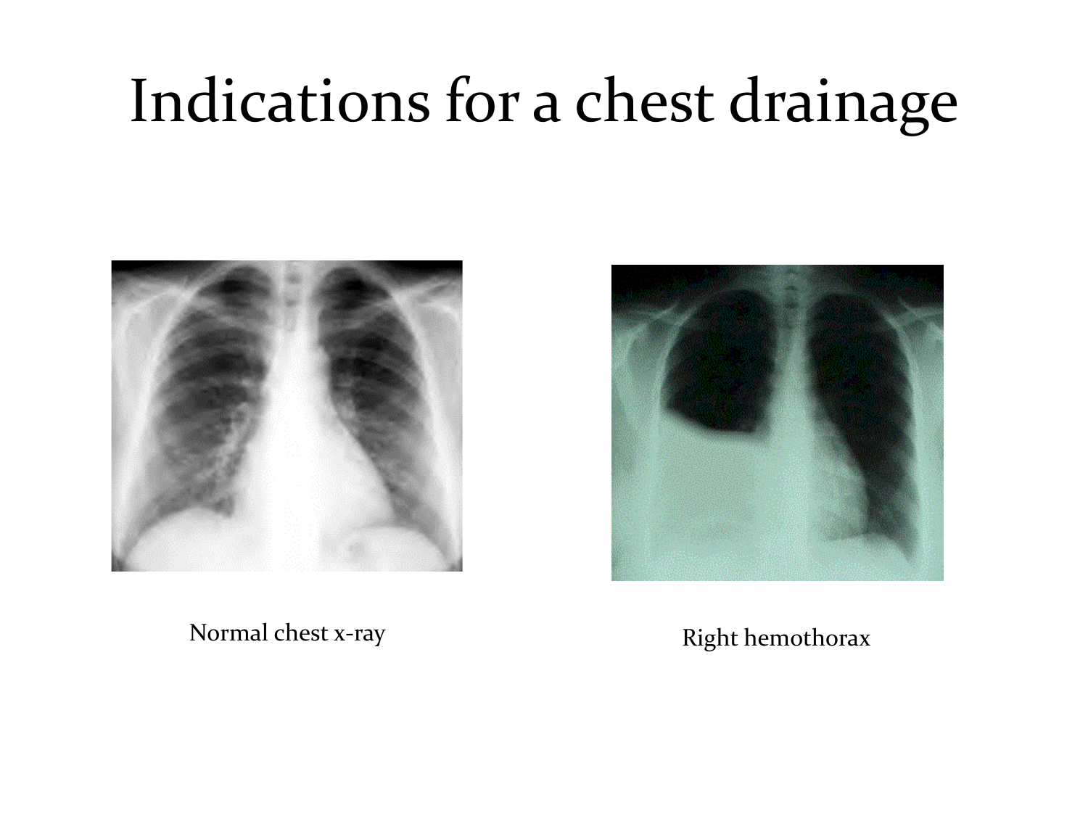

Normal chest x-ray Right hemothorax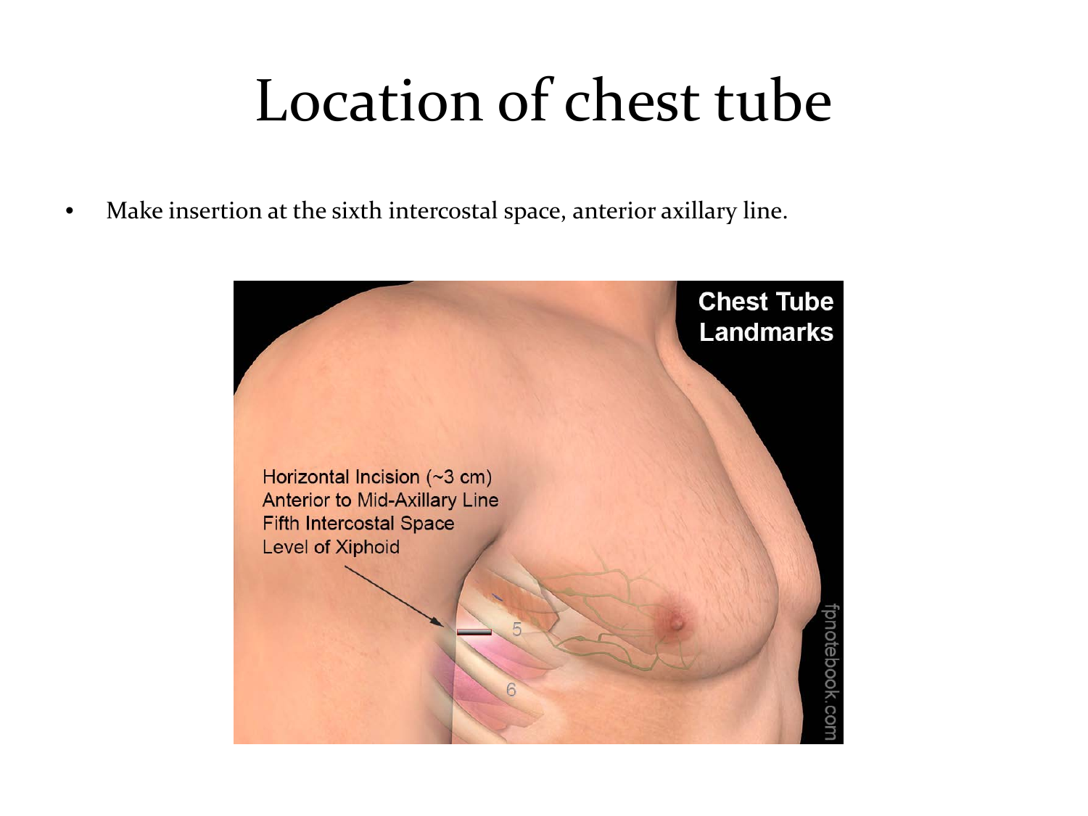#### Location of chest tube

• Make insertion at the sixth intercostal space, anterior axillary line.

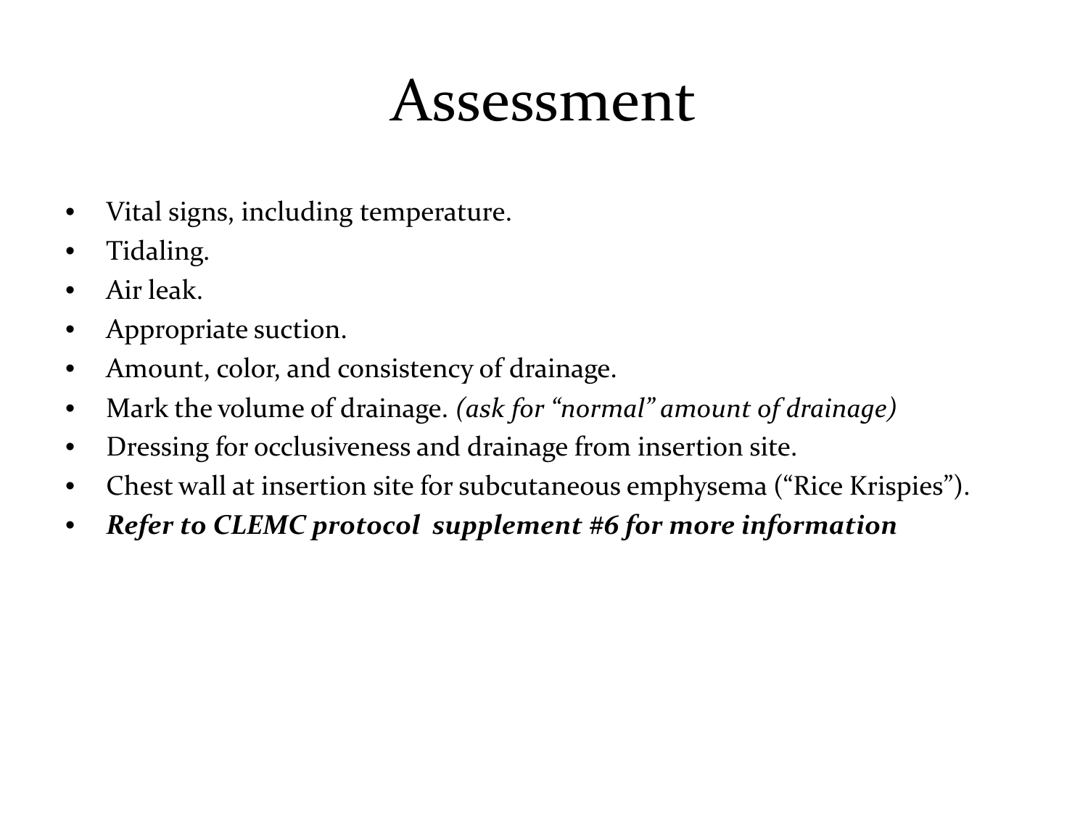#### Assessment

- Vital signs, including temperature.
- Tidaling.
- Air leak.
- Appropriate suction.
- Amount, color, and consistency of drainage.
- Mark the volume of drainage. *(ask for "normal" amount of drainage)*
- Dressing for occlusiveness and drainage from insertion site.
- Chest wall at insertion site for subcutaneous emphysema ("Rice Krispies").
- *Refer to CLEMC protocol supplement #6 for more information*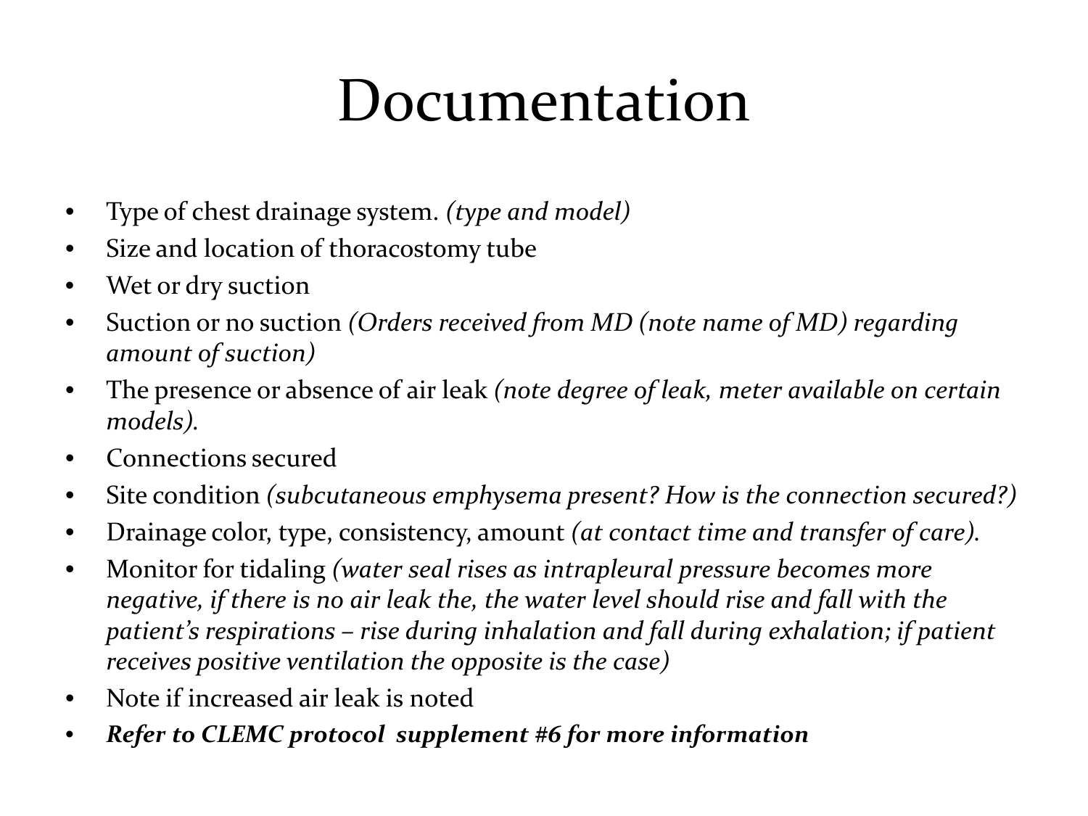#### Documentation

- Type of chest drainage system. *(type and model)*
- Size and location of thoracostomy tube
- Wet or dry suction
- Suction or no suction *(Orders received from MD (note name of MD) regarding amount of suction)*
- The presence or absence of air leak *(note degree of leak, meter available on certain models).*
- Connections secured
- Site condition *(subcutaneous emphysema present? How is the connection secured?)*
- Drainage color, type, consistency, amount *(at contact time and transfer of care).*
- Monitor for tidaling *(water seal rises as intrapleural pressure becomes more negative, if there is no air leak the, the water level should rise and fall with the patient's respirations – rise during inhalation and fall during exhalation; if patient receives positive ventilation the opposite is the case)*
- Note if increased air leak is noted
- *Refer to CLEMC protocol supplement #6 for more information*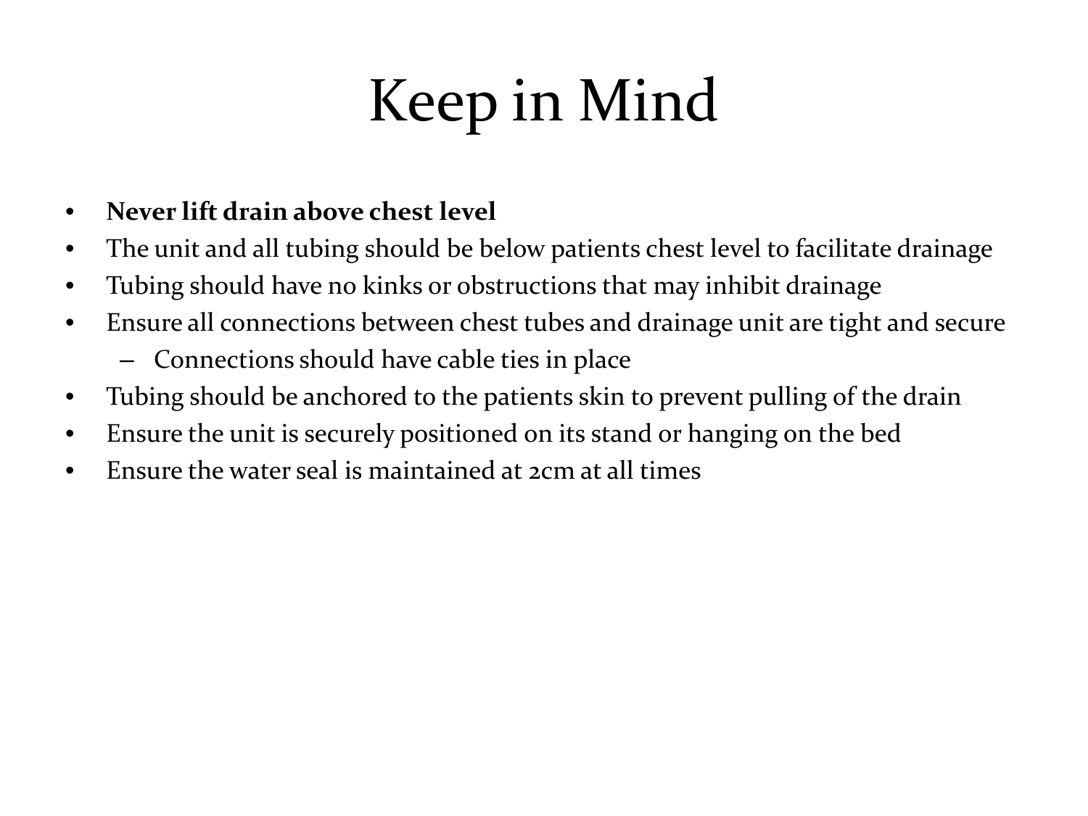## Keep in Mind

#### • **Never lift drain above chest level**

- The unit and all tubing should be below patients chest level to facilitate drainage
- Tubing should have no kinks or obstructions that may inhibit drainage
- Ensure all connections between chest tubes and drainage unit are tight and secure
	- Connections should have cable ties in place
- Tubing should be anchored to the patients skin to prevent pulling of the drain
- Ensure the unit is securely positioned on its stand or hanging on the bed
- Ensure the water seal is maintained at 2cm at all times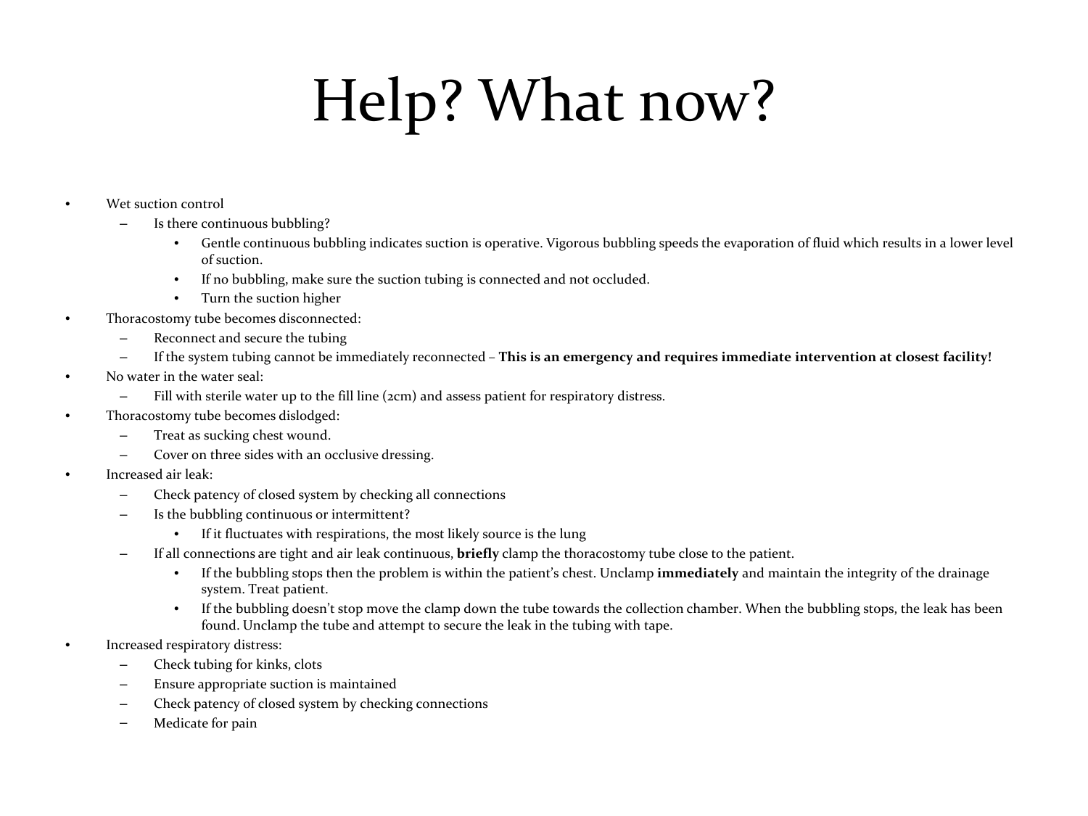## Help? What now?

- Wet suction control
	- Is there continuous bubbling?
		- Gentle continuous bubbling indicates suction is operative. Vigorous bubbling speeds the evaporation of fluid which results in a lower level of suction.
		- If no bubbling, make sure the suction tubing is connected and not occluded.
		- Turn the suction higher
- Thoracostomy tube becomes disconnected:
	- Reconnect and secure the tubing
	- If the system tubing cannot be immediately reconnected **This is an emergency and requires immediate intervention at closest facility!**
- No water in the water seal:
	- Fill with sterile water up to the fill line (2cm) and assess patient for respiratory distress.
- Thoracostomy tube becomes dislodged:
	- Treat as sucking chest wound.
	- Cover on three sides with an occlusive dressing.
- Increased air leak:
	- Check patency of closed system by checking all connections
	- Is the bubbling continuous or intermittent?
		- If it fluctuates with respirations, the most likely source is the lung
	- If all connections are tight and air leak continuous, **briefly** clamp the thoracostomy tube close to the patient.
		- If the bubbling stops then the problem is within the patient's chest. Unclamp **immediately** and maintain the integrity of the drainage system. Treat patient.
		- If the bubbling doesn't stop move the clamp down the tube towards the collection chamber. When the bubbling stops, the leak has been found. Unclamp the tube and attempt to secure the leak in the tubing with tape.
- Increased respiratory distress:
	- Check tubing for kinks, clots
	- Ensure appropriate suction is maintained
	- Check patency of closed system by checking connections
	- Medicate for pain